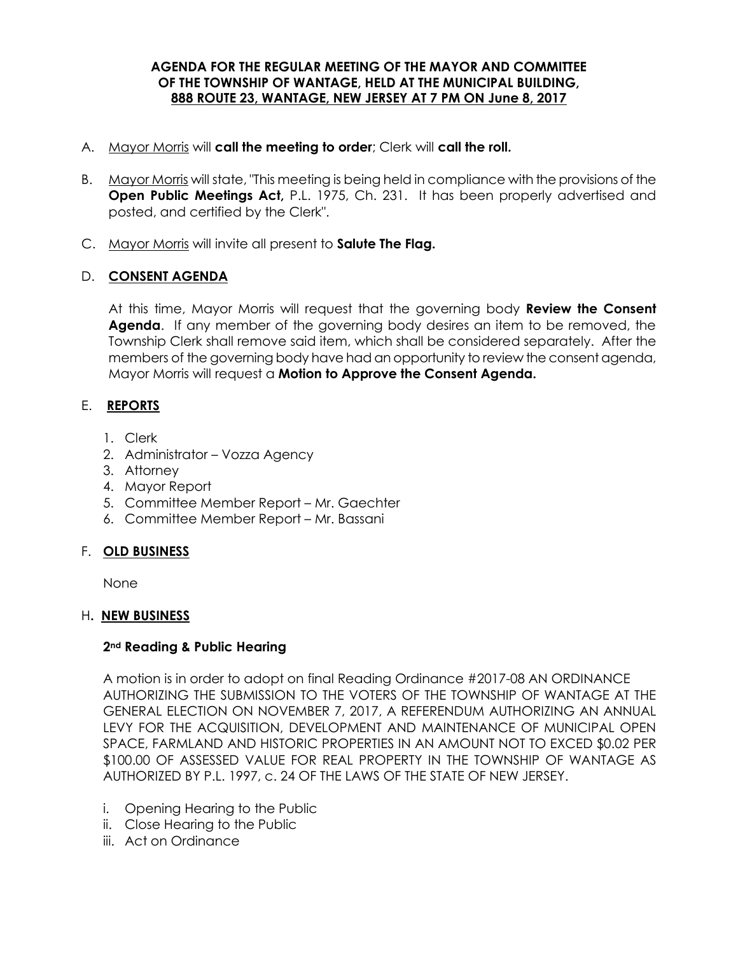## **AGENDA FOR THE REGULAR MEETING OF THE MAYOR AND COMMITTEE OF THE TOWNSHIP OF WANTAGE, HELD AT THE MUNICIPAL BUILDING, 888 ROUTE 23, WANTAGE, NEW JERSEY AT 7 PM ON June 8, 2017**

## A. Mayor Morris will **call the meeting to order**; Clerk will **call the roll.**

- B. Mayor Morris will state, "This meeting is being held in compliance with the provisions of the **Open Public Meetings Act,** P.L. 1975, Ch. 231. It has been properly advertised and posted, and certified by the Clerk".
- C. Mayor Morris will invite all present to **Salute The Flag.**

# D. **CONSENT AGENDA**

At this time, Mayor Morris will request that the governing body **Review the Consent Agenda**. If any member of the governing body desires an item to be removed, the Township Clerk shall remove said item, which shall be considered separately. After the members of the governing body have had an opportunity to review the consent agenda, Mayor Morris will request a **Motion to Approve the Consent Agenda.** 

# E. **REPORTS**

- 1. Clerk
- 2. Administrator Vozza Agency
- 3. Attorney
- 4. Mayor Report
- 5. Committee Member Report Mr. Gaechter
- 6. Committee Member Report Mr. Bassani

# F. **OLD BUSINESS**

None

# H**. NEW BUSINESS**

# **2nd Reading & Public Hearing**

A motion is in order to adopt on final Reading Ordinance #2017-08 AN ORDINANCE AUTHORIZING THE SUBMISSION TO THE VOTERS OF THE TOWNSHIP OF WANTAGE AT THE GENERAL ELECTION ON NOVEMBER 7, 2017, A REFERENDUM AUTHORIZING AN ANNUAL LEVY FOR THE ACQUISITION, DEVELOPMENT AND MAINTENANCE OF MUNICIPAL OPEN SPACE, FARMLAND AND HISTORIC PROPERTIES IN AN AMOUNT NOT TO EXCED \$0.02 PER \$100.00 OF ASSESSED VALUE FOR REAL PROPERTY IN THE TOWNSHIP OF WANTAGE AS AUTHORIZED BY P.L. 1997, c. 24 OF THE LAWS OF THE STATE OF NEW JERSEY.

- i. Opening Hearing to the Public
- ii. Close Hearing to the Public
- iii. Act on Ordinance